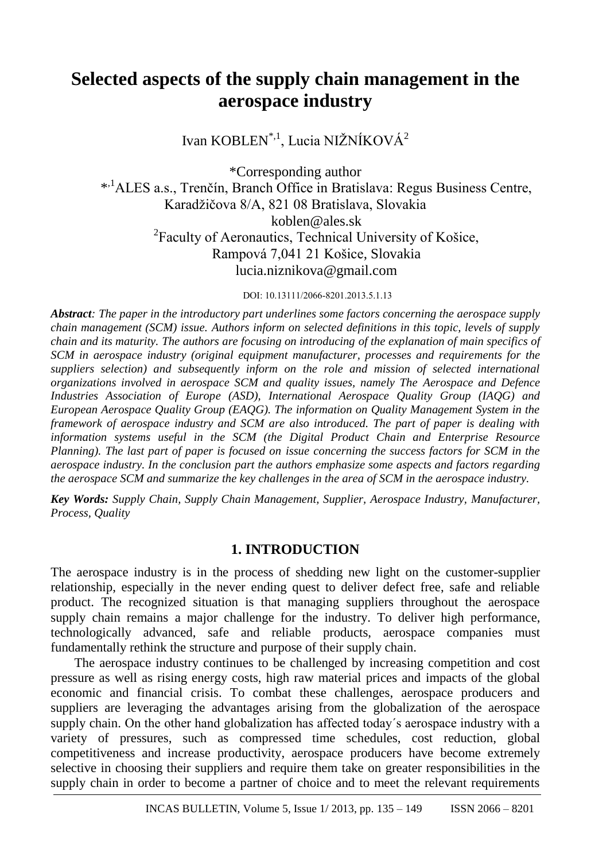# **Selected aspects of the supply chain management in the aerospace industry**

Ivan KOBLEN<sup>\*,1</sup>, Lucia NIŽNÍKOVÁ<sup>2</sup>

\*Corresponding author \* ,1ALES a.s., Trenčín, Branch Office in Bratislava: Regus Business Centre, Karadžičova 8/A, 821 08 Bratislava, Slovakia koblen@ales.sk <sup>2</sup> Faculty of Aeronautics, Technical University of Košice, Rampová 7,041 21 Košice, Slovakia lucia.niznikova@gmail.com

DOI: 10.13111/2066-8201.2013.5.1.13

*Abstract: The paper in the introductory part underlines some factors concerning the aerospace supply chain management (SCM) issue. Authors inform on selected definitions in this topic, levels of supply chain and its maturity. The authors are focusing on introducing of the explanation of main specifics of SCM in aerospace industry (original equipment manufacturer, processes and requirements for the suppliers selection) and subsequently inform on the role and mission of selected international organizations involved in aerospace SCM and quality issues, namely The Aerospace and Defence Industries Association of Europe (ASD), International Aerospace Quality Group (IAQG) and European Aerospace Quality Group (EAQG). The information on Quality Management System in the framework of aerospace industry and SCM are also introduced. The part of paper is dealing with information systems useful in the SCM (the Digital Product Chain and Enterprise Resource Planning). The last part of paper is focused on issue concerning the success factors for SCM in the aerospace industry. In the conclusion part the authors emphasize some aspects and factors regarding the aerospace SCM and summarize the key challenges in the area of SCM in the aerospace industry.*

*Key Words: Supply Chain, Supply Chain Management, Supplier, Aerospace Industry, Manufacturer, Process, Quality*

# **1. INTRODUCTION**

The aerospace industry is in the process of shedding new light on the customer-supplier relationship, especially in the never ending quest to deliver defect free, safe and reliable product. The recognized situation is that managing suppliers throughout the aerospace supply chain remains a major challenge for the industry. To deliver high performance, technologically advanced, safe and reliable products, aerospace companies must fundamentally rethink the structure and purpose of their supply chain.

The aerospace industry continues to be challenged by increasing competition and cost pressure as well as rising energy costs, high raw material prices and impacts of the global economic and financial crisis. To combat these challenges, aerospace producers and suppliers are leveraging the advantages arising from the globalization of the aerospace supply chain. On the other hand globalization has affected today´s aerospace industry with a variety of pressures, such as compressed time schedules, cost reduction, global competitiveness and increase productivity, aerospace producers have become extremely selective in choosing their suppliers and require them take on greater responsibilities in the supply chain in order to become a partner of choice and to meet the relevant requirements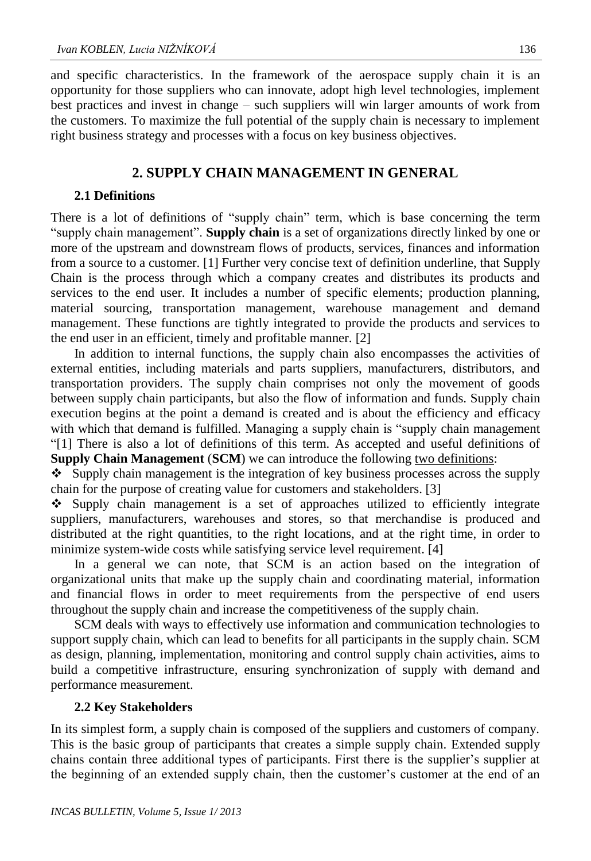and specific characteristics. In the framework of the aerospace supply chain it is an opportunity for those suppliers who can innovate, adopt high level technologies, implement best practices and invest in change – such suppliers will win larger amounts of work from the customers. To maximize the full potential of the supply chain is necessary to implement right business strategy and processes with a focus on key business objectives.

#### **2. SUPPLY CHAIN MANAGEMENT IN GENERAL**

#### **2.1 Definitions**

There is a lot of definitions of "supply chain" term, which is base concerning the term "supply chain management". **Supply chain** is a set of organizations directly linked by one or more of the upstream and downstream flows of products, services, finances and information from a source to a customer. [1] Further very concise text of definition underline, that Supply Chain is the process through which a company creates and distributes its products and services to the end user. It includes a number of specific elements; production planning, material sourcing, transportation management, warehouse management and demand management. These functions are tightly integrated to provide the products and services to the end user in an efficient, timely and profitable manner. [2]

In addition to internal functions, the supply chain also encompasses the activities of external entities, including materials and parts suppliers, manufacturers, distributors, and transportation providers. The supply chain comprises not only the movement of goods between supply chain participants, but also the flow of information and funds. Supply chain execution begins at the point a demand is created and is about the efficiency and efficacy with which that demand is fulfilled. Managing a supply chain is "supply chain management "[1] There is also a lot of definitions of this term. As accepted and useful definitions of **Supply Chain Management (SCM)** we can introduce the following two definitions:

 $\bullet$  Supply chain management is the integration of key business processes across the supply chain for the purpose of creating value for customers and stakeholders. [3]

 Supply chain management is a set of approaches utilized to efficiently integrate suppliers, manufacturers, warehouses and stores, so that merchandise is produced and distributed at the right quantities, to the right locations, and at the right time, in order to minimize system-wide costs while satisfying service level requirement. [4]

In a general we can note, that SCM is an action based on the integration of organizational units that make up the supply chain and coordinating material, information and financial flows in order to meet requirements from the perspective of end users throughout the supply chain and increase the competitiveness of the supply chain.

SCM deals with ways to effectively use information and communication technologies to support supply chain, which can lead to benefits for all participants in the supply chain. SCM as design, planning, implementation, monitoring and control supply chain activities, aims to build a competitive infrastructure, ensuring synchronization of supply with demand and performance measurement.

#### **2.2 Key Stakeholders**

In its simplest form, a supply chain is composed of the suppliers and customers of company. This is the basic group of participants that creates a simple supply chain. Extended supply chains contain three additional types of participants. First there is the supplier's supplier at the beginning of an extended supply chain, then the customer's customer at the end of an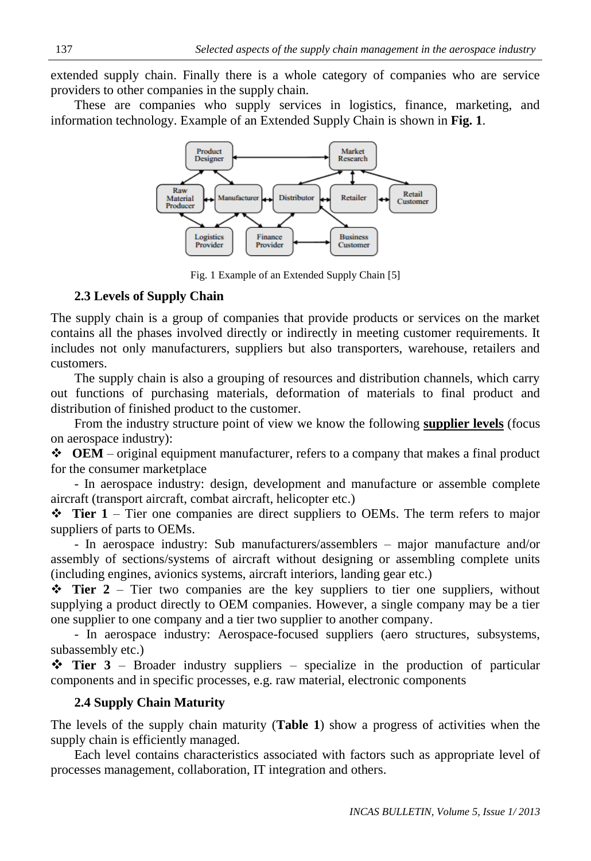extended supply chain. Finally there is a whole category of companies who are service providers to other companies in the supply chain.

These are companies who supply services in logistics, finance, marketing, and information technology. Example of an Extended Supply Chain is shown in **Fig. 1**.



Fig. 1 Example of an Extended Supply Chain [5]

# **2.3 Levels of Supply Chain**

The supply chain is a group of companies that provide products or services on the market contains all the phases involved directly or indirectly in meeting customer requirements. It includes not only manufacturers, suppliers but also transporters, warehouse, retailers and customers.

The supply chain is also a grouping of resources and distribution channels, which carry out functions of purchasing materials, deformation of materials to final product and distribution of finished product to the customer.

From the industry structure point of view we know the following **supplier levels** (focus on aerospace industry):

 **OEM** – original equipment manufacturer, refers to a company that makes a final product for the consumer marketplace

- In aerospace industry: design, development and manufacture or assemble complete aircraft (transport aircraft, combat aircraft, helicopter etc.)

 $\div$  **Tier 1** – Tier one companies are direct suppliers to OEMs. The term refers to major suppliers of parts to OEMs.

- In aerospace industry: Sub manufacturers/assemblers – major manufacture and/or assembly of sections/systems of aircraft without designing or assembling complete units (including engines, avionics systems, aircraft interiors, landing gear etc.)

 **Tier 2** – Tier two companies are the key suppliers to tier one suppliers, without supplying a product directly to OEM companies. However, a single company may be a tier one supplier to one company and a tier two supplier to another company.

- In aerospace industry: Aerospace-focused suppliers (aero structures, subsystems, subassembly etc.)

 **Tier 3** – Broader industry suppliers – specialize in the production of particular components and in specific processes, e.g. raw material, electronic components

# **2.4 Supply Chain Maturity**

The levels of the supply chain maturity (**Table 1**) show a progress of activities when the supply chain is efficiently managed.

Each level contains characteristics associated with factors such as appropriate level of processes management, collaboration, IT integration and others.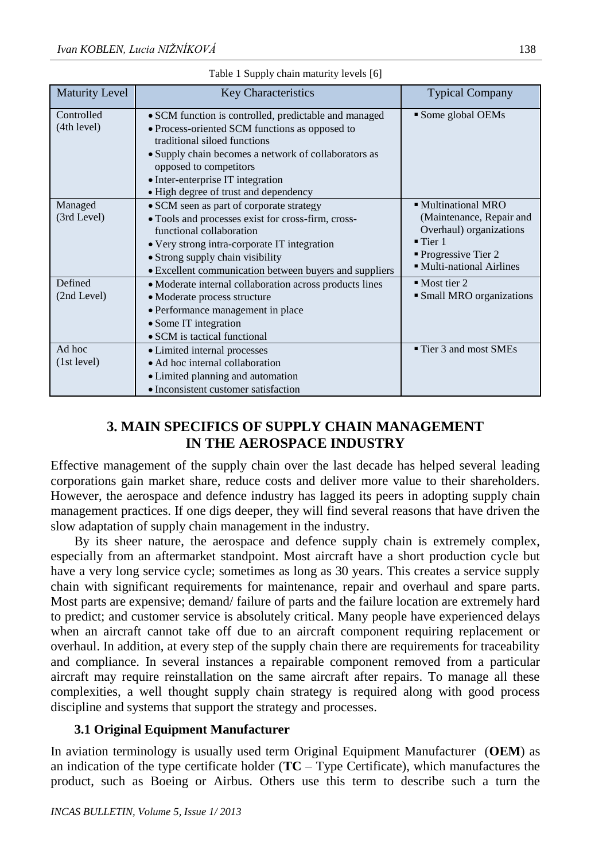| <b>Maturity Level</b>     | <b>Key Characteristics</b>                                                                                                                                                                                                                                                                              | <b>Typical Company</b>                                                                                                                                        |
|---------------------------|---------------------------------------------------------------------------------------------------------------------------------------------------------------------------------------------------------------------------------------------------------------------------------------------------------|---------------------------------------------------------------------------------------------------------------------------------------------------------------|
| Controlled<br>(4th level) | • SCM function is controlled, predictable and managed<br>• Process-oriented SCM functions as opposed to<br>traditional siloed functions<br>• Supply chain becomes a network of collaborators as<br>opposed to competitors<br>• Inter-enterprise IT integration<br>• High degree of trust and dependency | • Some global OEMs                                                                                                                                            |
| Managed<br>(3rd Level)    | • SCM seen as part of corporate strategy<br>• Tools and processes exist for cross-firm, cross-<br>functional collaboration<br>• Very strong intra-corporate IT integration<br>• Strong supply chain visibility<br>• Excellent communication between buyers and suppliers                                | • Multinational MRO<br>(Maintenance, Repair and<br>Overhaul) organizations<br>$\blacksquare$ Tier 1<br><b>Progressive Tier 2</b><br>• Multi-national Airlines |
| Defined<br>(2nd Level)    | • Moderate internal collaboration across products lines<br>• Moderate process structure<br>• Performance management in place<br>• Some IT integration<br>• SCM is tactical functional                                                                                                                   | $\blacksquare$ Most tier 2<br>• Small MRO organizations                                                                                                       |
| Ad hoc<br>(1st level)     | • Limited internal processes<br>• Ad hoc internal collaboration<br>• Limited planning and automation<br>• Inconsistent customer satisfaction                                                                                                                                                            | ■ Tier 3 and most SMEs                                                                                                                                        |

|  | Table 1 Supply chain maturity levels [6] |  |  |
|--|------------------------------------------|--|--|
|  |                                          |  |  |

# **3. MAIN SPECIFICS OF SUPPLY CHAIN MANAGEMENT IN THE AEROSPACE INDUSTRY**

Effective management of the supply chain over the last decade has helped several leading corporations gain market share, reduce costs and deliver more value to their shareholders. However, the aerospace and defence industry has lagged its peers in adopting supply chain management practices. If one digs deeper, they will find several reasons that have driven the slow adaptation of supply chain management in the industry.

By its sheer nature, the aerospace and defence supply chain is extremely complex, especially from an aftermarket standpoint. Most aircraft have a short production cycle but have a very long service cycle; sometimes as long as 30 years. This creates a service supply chain with significant requirements for maintenance, repair and overhaul and spare parts. Most parts are expensive; demand/ failure of parts and the failure location are extremely hard to predict; and customer service is absolutely critical. Many people have experienced delays when an aircraft cannot take off due to an aircraft component requiring replacement or overhaul. In addition, at every step of the supply chain there are requirements for traceability and compliance. In several instances a repairable component removed from a particular aircraft may require reinstallation on the same aircraft after repairs. To manage all these complexities, a well thought supply chain strategy is required along with good process discipline and systems that support the strategy and processes.

### **3.1 Original Equipment Manufacturer**

In aviation terminology is usually used term Original Equipment Manufacturer (**OEM**) as an indication of the type certificate holder  $(TC - Type \;$ Certificate), which manufactures the product, such as Boeing or Airbus. Others use this term to describe such a turn the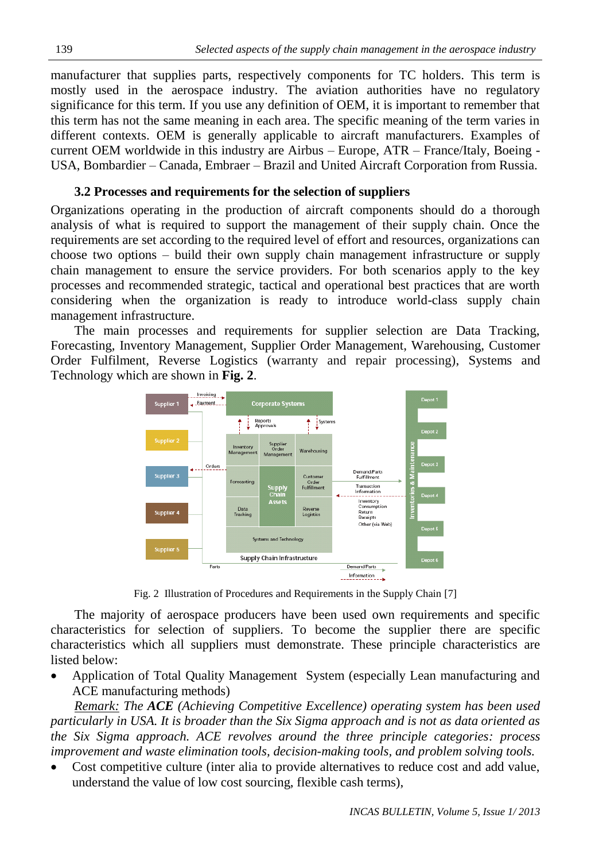manufacturer that supplies parts, respectively components for TC holders. This term is mostly used in the aerospace industry. The aviation authorities have no regulatory significance for this term. If you use any definition of OEM, it is important to remember that this term has not the same meaning in each area. The specific meaning of the term varies in different contexts. OEM is generally applicable to aircraft manufacturers. Examples of current OEM worldwide in this industry are Airbus – Europe, ATR – France/Italy, Boeing - USA, Bombardier – Canada, Embraer – Brazil and United Aircraft Corporation from Russia.

# **3.2 Processes and requirements for the selection of suppliers**

Organizations operating in the production of aircraft components should do a thorough analysis of what is required to support the management of their supply chain. Once the requirements are set according to the required level of effort and resources, organizations can choose two options – build their own supply chain management infrastructure or supply chain management to ensure the service providers. For both scenarios apply to the key processes and recommended strategic, tactical and operational best practices that are worth considering when the organization is ready to introduce world-class supply chain management infrastructure.

The main processes and requirements for supplier selection are Data Tracking, Forecasting, Inventory Management, Supplier Order Management, Warehousing, Customer Order Fulfilment, Reverse Logistics (warranty and repair processing), Systems and Technology which are shown in **Fig. 2**.



Fig. 2 Illustration of Procedures and Requirements in the Supply Chain [7]

The majority of aerospace producers have been used own requirements and specific characteristics for selection of suppliers. To become the supplier there are specific characteristics which all suppliers must demonstrate. These principle characteristics are listed below:

 Application of Total Quality Management System (especially Lean manufacturing and ACE manufacturing methods)

*Remark: The ACE (Achieving Competitive Excellence) operating system has been used particularly in USA. It is broader than the Six Sigma approach and is not as data oriented as the Six Sigma approach. ACE revolves around the three principle categories: process improvement and waste elimination tools, decision-making tools, and problem solving tools.*

 Cost competitive culture (inter alia to provide alternatives to reduce cost and add value, understand the value of low cost sourcing, flexible cash terms),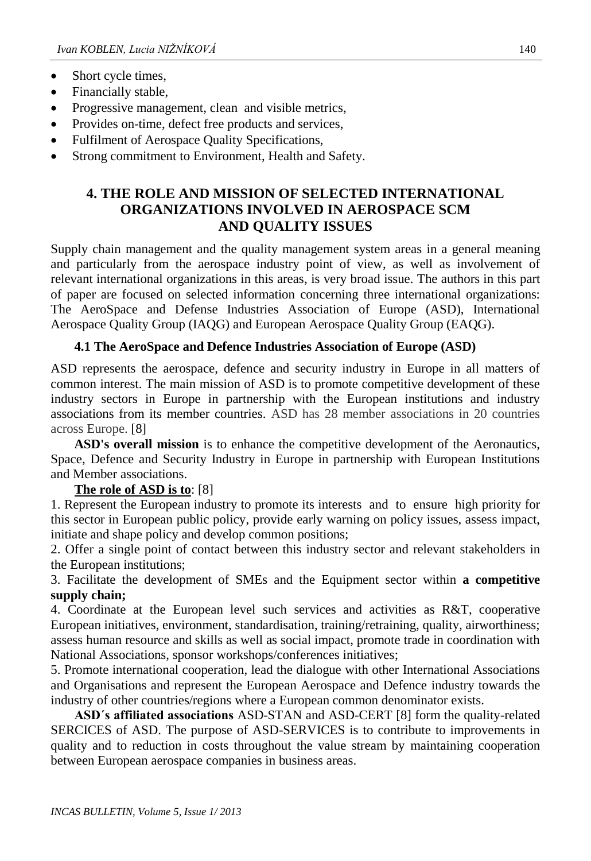- Short cycle times,
- Financially stable,
- Progressive management, clean and visible metrics,
- Provides on-time, defect free products and services,
- Fulfilment of Aerospace Quality Specifications,
- Strong commitment to Environment, Health and Safety.

# **4. THE ROLE AND MISSION OF SELECTED INTERNATIONAL ORGANIZATIONS INVOLVED IN AEROSPACE SCM AND QUALITY ISSUES**

Supply chain management and the quality management system areas in a general meaning and particularly from the aerospace industry point of view, as well as involvement of relevant international organizations in this areas, is very broad issue. The authors in this part of paper are focused on selected information concerning three international organizations: The AeroSpace and Defense Industries Association of Europe (ASD), International Aerospace Quality Group (IAQG) and European Aerospace Quality Group (EAQG).

# **4.1 The AeroSpace and Defence Industries Association of Europe (ASD)**

ASD represents the aerospace, defence and security industry in Europe in all matters of common interest. The main mission of ASD is to promote competitive development of these industry sectors in Europe in partnership with the European institutions and industry associations from its member countries. ASD has 28 member associations in 20 countries across Europe. [8]

**ASD's overall mission** is to enhance the competitive development of the Aeronautics, Space, Defence and Security Industry in Europe in partnership with European Institutions and Member associations.

### **The role of ASD is to**: [8]

1. Represent the European industry to promote its interests and to ensure high priority for this sector in European public policy, provide early warning on policy issues, assess impact, initiate and shape policy and develop common positions;

2. Offer a single point of contact between this industry sector and relevant stakeholders in the European institutions;

3. Facilitate the development of SMEs and the Equipment sector within **a competitive supply chain;**

4. Coordinate at the European level such services and activities as R&T, cooperative European initiatives, environment, standardisation, training/retraining, quality, airworthiness; assess human resource and skills as well as social impact, promote trade in coordination with National Associations, sponsor workshops/conferences initiatives;

5. Promote international cooperation, lead the dialogue with other International Associations and Organisations and represent the European Aerospace and Defence industry towards the industry of other countries/regions where a European common denominator exists.

**ASD´s affiliated associations** ASD-STAN and ASD-CERT [8] form the quality-related SERCICES of ASD. The purpose of ASD-SERVICES is to contribute to improvements in quality and to reduction in costs throughout the value stream by maintaining cooperation between European aerospace companies in business areas.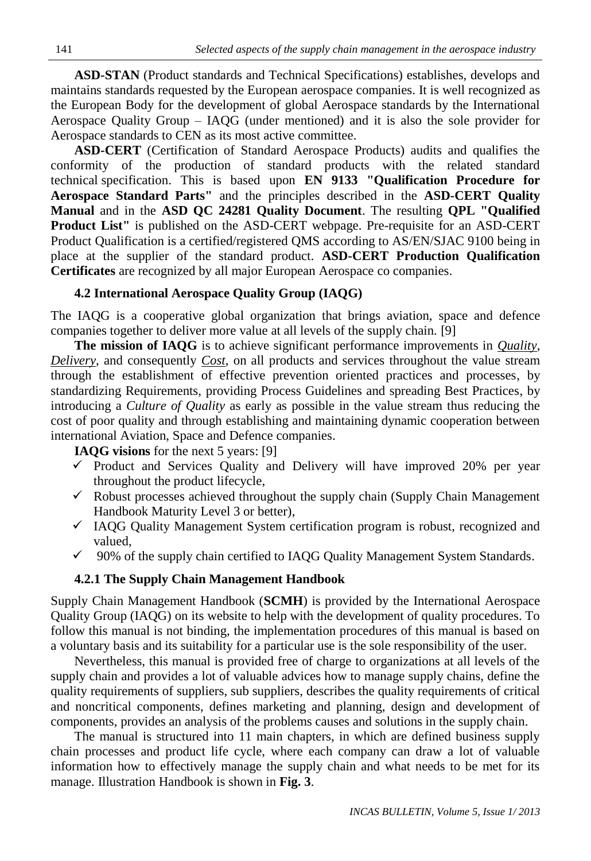**ASD-STAN** (Product standards and Technical Specifications) establishes, develops and maintains standards requested by the European aerospace companies. It is well recognized as the European Body for the development of global Aerospace standards by the International Aerospace Quality Group – IAQG (under mentioned) and it is also the sole provider for Aerospace standards to CEN as its most active committee.

**ASD-CERT** (Certification of Standard Aerospace Products) audits and qualifies the conformity of the production of standard products with the related standard technical specification. This is based upon **EN 9133 "Qualification Procedure for Aerospace Standard Parts"** and the principles described in the **ASD-CERT Quality Manual** and in the **ASD QC 24281 Quality Document**. The resulting **QPL "Qualified Product List"** is published on the ASD-CERT webpage. Pre-requisite for an ASD-CERT Product Qualification is a certified/registered QMS according to AS/EN/SJAC 9100 being in place at the supplier of the standard product. **ASD-CERT Production Qualification Certificates** are recognized by all major European Aerospace co companies.

#### **4.2 International Aerospace Quality Group (IAQG)**

The IAQG is a cooperative global organization that brings aviation, space and defence companies together to deliver more value at all levels of the supply chain. [9]

**The mission of IAQG** is to achieve significant performance improvements in *Quality*, *Delivery*, and consequently *Cost*, on all products and services throughout the value stream through the establishment of effective prevention oriented practices and processes, by standardizing Requirements, providing Process Guidelines and spreading Best Practices, by introducing a *Culture of Quality* as early as possible in the value stream thus reducing the cost of poor quality and through establishing and maintaining dynamic cooperation between international Aviation, Space and Defence companies.

**IAQG visions** for the next 5 years: [9]

- $\checkmark$  Product and Services Quality and Delivery will have improved 20% per year throughout the product lifecycle,
- $\checkmark$  Robust processes achieved throughout the supply chain (Supply Chain Management) Handbook Maturity Level 3 or better),
- $\checkmark$  IAQG Quality Management System certification program is robust, recognized and valued,
- $\checkmark$  90% of the supply chain certified to IAQG Quality Management System Standards.

### **4.2.1 The Supply Chain Management Handbook**

Supply Chain Management Handbook (**SCMH**) is provided by the International Aerospace Quality Group (IAQG) on its website to help with the development of quality procedures. To follow this manual is not binding, the implementation procedures of this manual is based on a voluntary basis and its suitability for a particular use is the sole responsibility of the user.

Nevertheless, this manual is provided free of charge to organizations at all levels of the supply chain and provides a lot of valuable advices how to manage supply chains, define the quality requirements of suppliers, sub suppliers, describes the quality requirements of critical and noncritical components, defines marketing and planning, design and development of components, provides an analysis of the problems causes and solutions in the supply chain.

The manual is structured into 11 main chapters, in which are defined business supply chain processes and product life cycle, where each company can draw a lot of valuable information how to effectively manage the supply chain and what needs to be met for its manage. Illustration Handbook is shown in **Fig. 3**.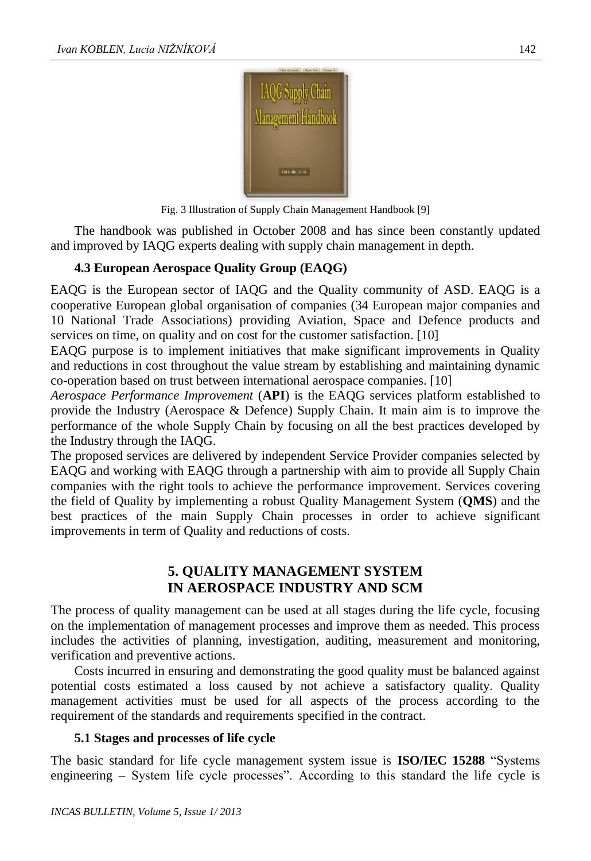

Fig. 3 Illustration of Supply Chain Management Handbook [9]

The handbook was published in October 2008 and has since been constantly updated and improved by IAQG experts dealing with supply chain management in depth.

### **4.3 European Aerospace Quality Group (EAQG)**

EAQG is the European sector of IAQG and the Quality community of ASD. EAQG is a cooperative European global organisation of companies (34 European major companies and 10 National Trade Associations) providing Aviation, Space and Defence products and services on time, on quality and on cost for the customer satisfaction. [10]

EAQG purpose is to implement initiatives that make significant improvements in Quality and reductions in cost throughout the value stream by establishing and maintaining dynamic co-operation based on trust between international aerospace companies. [10]

*Aerospace Performance Improvement* (**API**) is the EAQG services platform established to provide the Industry (Aerospace & Defence) Supply Chain. It main aim is to improve the performance of the whole Supply Chain by focusing on all the best practices developed by the Industry through the IAQG.

The proposed services are delivered by independent Service Provider companies selected by EAQG and working with EAQG through a partnership with aim to provide all Supply Chain companies with the right tools to achieve the performance improvement. Services covering the field of Quality by implementing a robust Quality Management System (**QMS**) and the best practices of the main Supply Chain processes in order to achieve significant improvements in term of Quality and reductions of costs.

# **5. QUALITY MANAGEMENT SYSTEM IN AEROSPACE INDUSTRY AND SCM**

The process of quality management can be used at all stages during the life cycle, focusing on the implementation of management processes and improve them as needed. This process includes the activities of planning, investigation, auditing, measurement and monitoring, verification and preventive actions.

Costs incurred in ensuring and demonstrating the good quality must be balanced against potential costs estimated a loss caused by not achieve a satisfactory quality. Quality management activities must be used for all aspects of the process according to the requirement of the standards and requirements specified in the contract.

### **5.1 Stages and processes of life cycle**

The basic standard for life cycle management system issue is **ISO/IEC 15288** "Systems engineering – System life cycle processes". According to this standard the life cycle is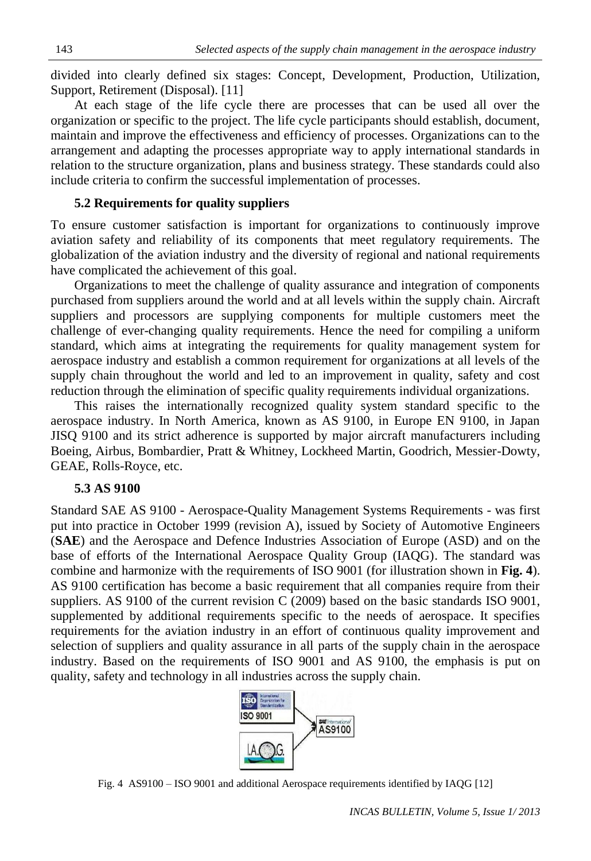divided into clearly defined six stages: Concept, Development, Production, Utilization, Support, Retirement (Disposal). [11]

At each stage of the life cycle there are processes that can be used all over the organization or specific to the project. The life cycle participants should establish, document, maintain and improve the effectiveness and efficiency of processes. Organizations can to the arrangement and adapting the processes appropriate way to apply international standards in relation to the structure organization, plans and business strategy. These standards could also include criteria to confirm the successful implementation of processes.

# **5.2 Requirements for quality suppliers**

To ensure customer satisfaction is important for organizations to continuously improve aviation safety and reliability of its components that meet regulatory requirements. The globalization of the aviation industry and the diversity of regional and national requirements have complicated the achievement of this goal.

Organizations to meet the challenge of quality assurance and integration of components purchased from suppliers around the world and at all levels within the supply chain. Aircraft suppliers and processors are supplying components for multiple customers meet the challenge of ever-changing quality requirements. Hence the need for compiling a uniform standard, which aims at integrating the requirements for quality management system for aerospace industry and establish a common requirement for organizations at all levels of the supply chain throughout the world and led to an improvement in quality, safety and cost reduction through the elimination of specific quality requirements individual organizations.

This raises the internationally recognized quality system standard specific to the aerospace industry. In North America, known as AS 9100, in Europe EN 9100, in Japan JISQ 9100 and its strict adherence is supported by major aircraft manufacturers including Boeing, Airbus, Bombardier, Pratt & Whitney, Lockheed Martin, Goodrich, Messier-Dowty, GEAE, Rolls-Royce, etc.

# **5.3 AS 9100**

Standard SAE AS 9100 - Aerospace-Quality Management Systems Requirements - was first put into practice in October 1999 (revision A), issued by Society of Automotive Engineers (**SAE**) and the Aerospace and Defence Industries Association of Europe (ASD) and on the base of efforts of the International Aerospace Quality Group (IAQG). The standard was combine and harmonize with the requirements of ISO 9001 (for illustration shown in **Fig. 4**). AS 9100 certification has become a basic requirement that all companies require from their suppliers. AS 9100 of the current revision C (2009) based on the basic standards ISO 9001, supplemented by additional requirements specific to the needs of aerospace. It specifies requirements for the aviation industry in an effort of continuous quality improvement and selection of suppliers and quality assurance in all parts of the supply chain in the aerospace industry. Based on the requirements of ISO 9001 and AS 9100, the emphasis is put on quality, safety and technology in all industries across the supply chain.



Fig. 4 AS9100 – ISO 9001 and additional Aerospace requirements identified by IAQG [12]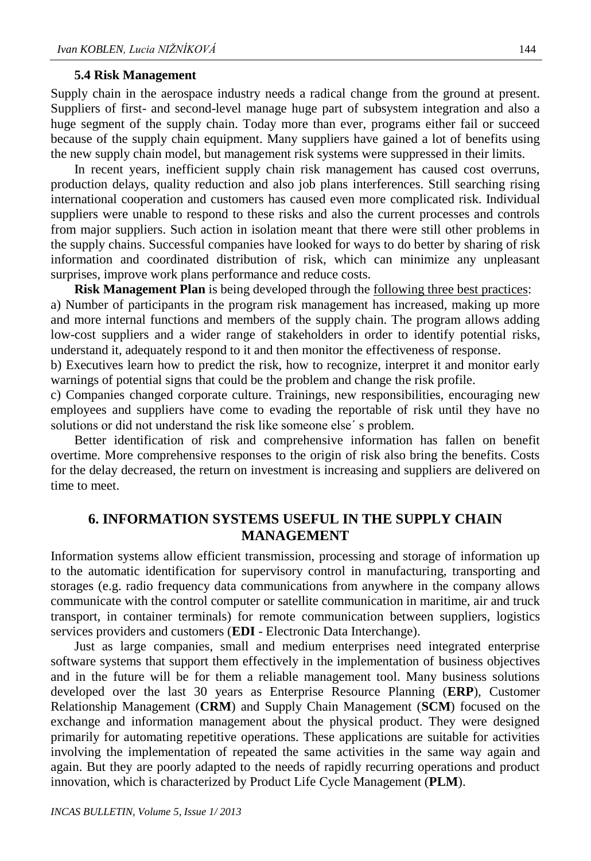#### **5.4 Risk Management**

Supply chain in the aerospace industry needs a radical change from the ground at present. Suppliers of first- and second-level manage huge part of subsystem integration and also a huge segment of the supply chain. Today more than ever, programs either fail or succeed because of the supply chain equipment. Many suppliers have gained a lot of benefits using the new supply chain model, but management risk systems were suppressed in their limits.

In recent years, inefficient supply chain risk management has caused cost overruns, production delays, quality reduction and also job plans interferences. Still searching rising international cooperation and customers has caused even more complicated risk. Individual suppliers were unable to respond to these risks and also the current processes and controls from major suppliers. Such action in isolation meant that there were still other problems in the supply chains. Successful companies have looked for ways to do better by sharing of risk information and coordinated distribution of risk, which can minimize any unpleasant surprises, improve work plans performance and reduce costs.

**Risk Management Plan** is being developed through the following three best practices: a) Number of participants in the program risk management has increased, making up more and more internal functions and members of the supply chain. The program allows adding low-cost suppliers and a wider range of stakeholders in order to identify potential risks, understand it, adequately respond to it and then monitor the effectiveness of response.

b) Executives learn how to predict the risk, how to recognize, interpret it and monitor early warnings of potential signs that could be the problem and change the risk profile.

c) Companies changed corporate culture. Trainings, new responsibilities, encouraging new employees and suppliers have come to evading the reportable of risk until they have no solutions or did not understand the risk like someone else´ s problem.

Better identification of risk and comprehensive information has fallen on benefit overtime. More comprehensive responses to the origin of risk also bring the benefits. Costs for the delay decreased, the return on investment is increasing and suppliers are delivered on time to meet.

#### **6. INFORMATION SYSTEMS USEFUL IN THE SUPPLY CHAIN MANAGEMENT**

Information systems allow efficient transmission, processing and storage of information up to the automatic identification for supervisory control in manufacturing, transporting and storages (e.g. radio frequency data communications from anywhere in the company allows communicate with the control computer or satellite communication in maritime, air and truck transport, in container terminals) for remote communication between suppliers, logistics services providers and customers (**EDI** - Electronic Data Interchange).

Just as large companies, small and medium enterprises need integrated enterprise software systems that support them effectively in the implementation of business objectives and in the future will be for them a reliable management tool. Many business solutions developed over the last 30 years as Enterprise Resource Planning (**ERP**), Customer Relationship Management (**CRM**) and Supply Chain Management (**SCM**) focused on the exchange and information management about the physical product. They were designed primarily for automating repetitive operations. These applications are suitable for activities involving the implementation of repeated the same activities in the same way again and again. But they are poorly adapted to the needs of rapidly recurring operations and product innovation, which is characterized by Product Life Cycle Management (**PLM**).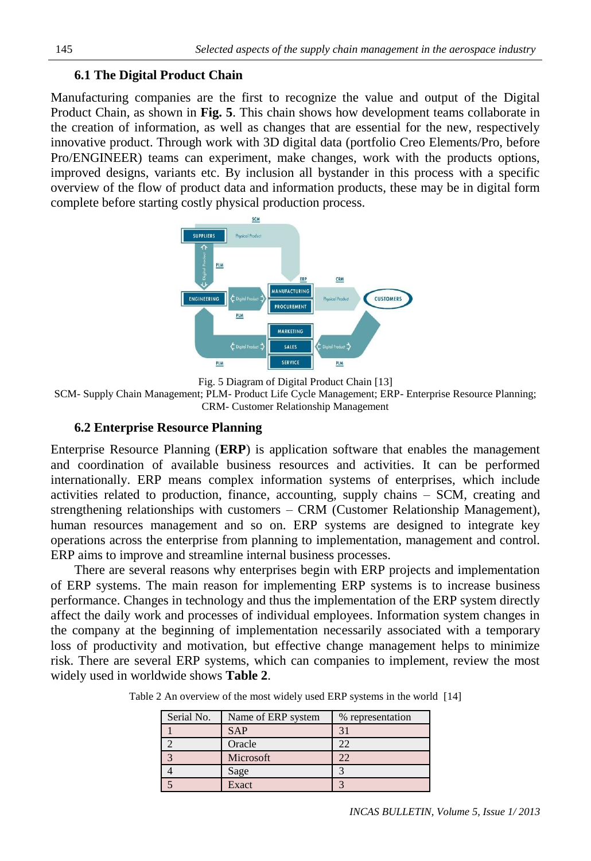# **6.1 The Digital Product Chain**

Manufacturing companies are the first to recognize the value and output of the Digital Product Chain, as shown in **Fig. 5**. This chain shows how development teams collaborate in the creation of information, as well as changes that are essential for the new, respectively innovative product. Through work with 3D digital data (portfolio Creo Elements/Pro, before Pro/ENGINEER) teams can experiment, make changes, work with the products options, improved designs, variants etc. By inclusion all bystander in this process with a specific overview of the flow of product data and information products, these may be in digital form complete before starting costly physical production process.



Fig. 5 Diagram of Digital Product Chain [13]

SCM- Supply Chain Management; PLM- Product Life Cycle Management; ERP- Enterprise Resource Planning; CRM- Customer Relationship Management

### **6.2 Enterprise Resource Planning**

Enterprise Resource Planning (**ERP**) is application software that enables the management and coordination of available business resources and activities. It can be performed internationally. ERP means complex information systems of enterprises, which include activities related to production, finance, accounting, supply chains – SCM, creating and strengthening relationships with customers – CRM (Customer Relationship Management), human resources management and so on. ERP systems are designed to integrate key operations across the enterprise from planning to implementation, management and control. ERP aims to improve and streamline internal business processes.

There are several reasons why enterprises begin with ERP projects and implementation of ERP systems. The main reason for implementing ERP systems is to increase business performance. Changes in technology and thus the implementation of the ERP system directly affect the daily work and processes of individual employees. Information system changes in the company at the beginning of implementation necessarily associated with a temporary loss of productivity and motivation, but effective change management helps to minimize risk. There are several ERP systems, which can companies to implement, review the most widely used in worldwide shows **Table 2**.

Table 2 An overview of the most widely used ERP systems in the world [14]

| Serial No. | Name of ERP system | % representation |
|------------|--------------------|------------------|
|            | <b>SAP</b>         |                  |
|            | Oracle             |                  |
|            | Microsoft          |                  |
|            | Sage               |                  |
|            | Exact              |                  |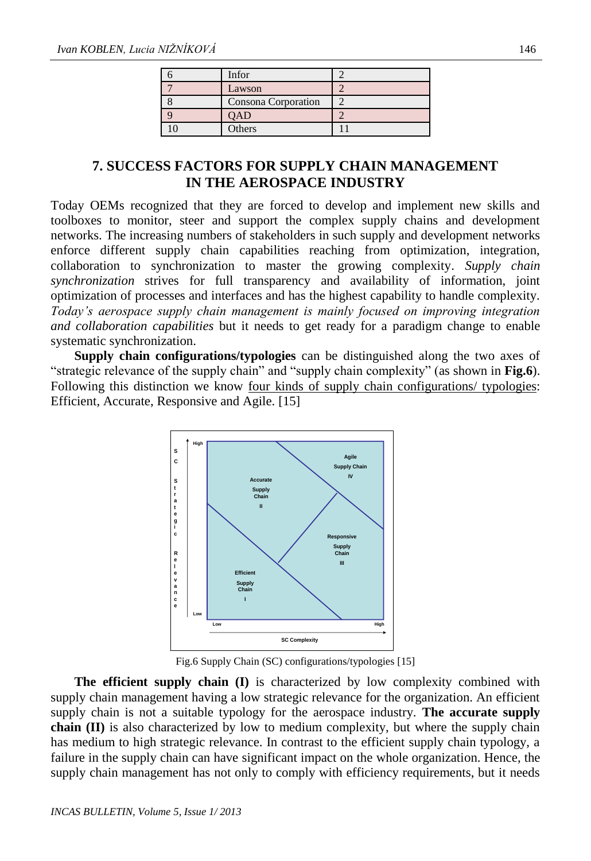| Infor               |  |
|---------------------|--|
| Lawson              |  |
| Consona Corporation |  |
|                     |  |
| Others              |  |

# **7. SUCCESS FACTORS FOR SUPPLY CHAIN MANAGEMENT IN THE AEROSPACE INDUSTRY**

Today OEMs recognized that they are forced to develop and implement new skills and toolboxes to monitor, steer and support the complex supply chains and development networks. The increasing numbers of stakeholders in such supply and development networks enforce different supply chain capabilities reaching from optimization, integration, collaboration to synchronization to master the growing complexity. *Supply chain synchronization* strives for full transparency and availability of information, joint optimization of processes and interfaces and has the highest capability to handle complexity. *Today's aerospace supply chain management is mainly focused on improving integration and collaboration capabilities* but it needs to get ready for a paradigm change to enable systematic synchronization.

**Supply chain configurations/typologies** can be distinguished along the two axes of "strategic relevance of the supply chain" and "supply chain complexity" (as shown in **Fig.6**). Following this distinction we know four kinds of supply chain configurations/ typologies: Efficient, Accurate, Responsive and Agile. [15]



Fig.6 Supply Chain (SC) configurations/typologies [15]

**The efficient supply chain (I)** is characterized by low complexity combined with supply chain management having a low strategic relevance for the organization. An efficient supply chain is not a suitable typology for the aerospace industry. **The accurate supply chain (II)** is also characterized by low to medium complexity, but where the supply chain has medium to high strategic relevance. In contrast to the efficient supply chain typology, a failure in the supply chain can have significant impact on the whole organization. Hence, the supply chain management has not only to comply with efficiency requirements, but it needs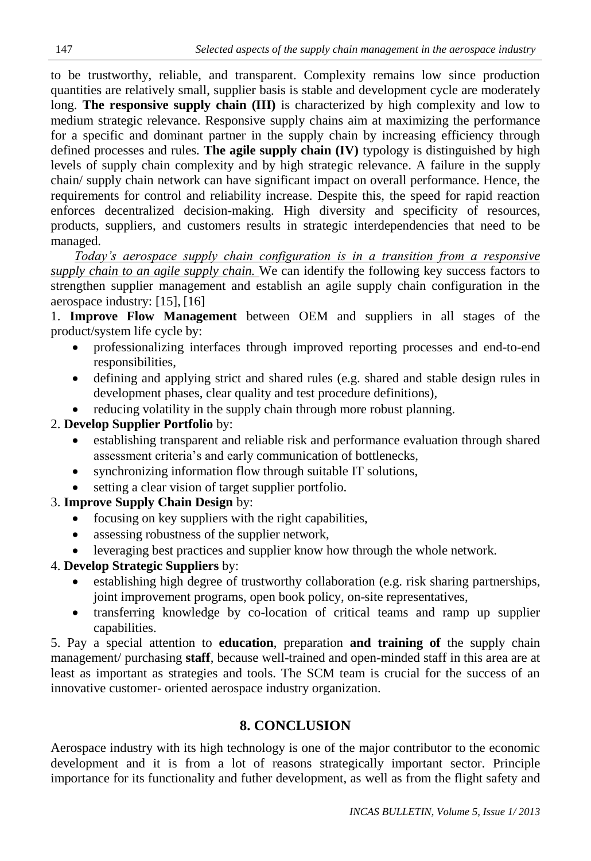to be trustworthy, reliable, and transparent. Complexity remains low since production quantities are relatively small, supplier basis is stable and development cycle are moderately long. **The responsive supply chain (III)** is characterized by high complexity and low to medium strategic relevance. Responsive supply chains aim at maximizing the performance for a specific and dominant partner in the supply chain by increasing efficiency through defined processes and rules. **The agile supply chain (IV)** typology is distinguished by high levels of supply chain complexity and by high strategic relevance. A failure in the supply chain/ supply chain network can have significant impact on overall performance. Hence, the requirements for control and reliability increase. Despite this, the speed for rapid reaction enforces decentralized decision-making. High diversity and specificity of resources, products, suppliers, and customers results in strategic interdependencies that need to be managed.

*Today's aerospace supply chain configuration is in a transition from a responsive supply chain to an agile supply chain.* We can identify the following key success factors to strengthen supplier management and establish an agile supply chain configuration in the aerospace industry: [15], [16]

1. **Improve Flow Management** between OEM and suppliers in all stages of the product/system life cycle by:

- professionalizing interfaces through improved reporting processes and end-to-end responsibilities,
- defining and applying strict and shared rules (e.g. shared and stable design rules in development phases, clear quality and test procedure definitions),
- reducing volatility in the supply chain through more robust planning.

# 2. **Develop Supplier Portfolio** by:

- establishing transparent and reliable risk and performance evaluation through shared assessment criteria's and early communication of bottlenecks,
- synchronizing information flow through suitable IT solutions,
- setting a clear vision of target supplier portfolio.

# 3. **Improve Supply Chain Design** by:

- focusing on key suppliers with the right capabilities,
- assessing robustness of the supplier network,
- leveraging best practices and supplier know how through the whole network.

# 4. **Develop Strategic Suppliers** by:

- establishing high degree of trustworthy collaboration (e.g. risk sharing partnerships, joint improvement programs, open book policy, on-site representatives,
- transferring knowledge by co-location of critical teams and ramp up supplier capabilities.

5. Pay a special attention to **education**, preparation **and training of** the supply chain management/ purchasing **staff**, because well-trained and open-minded staff in this area are at least as important as strategies and tools. The SCM team is crucial for the success of an innovative customer- oriented aerospace industry organization.

# **8. CONCLUSION**

Aerospace industry with its high technology is one of the major contributor to the economic development and it is from a lot of reasons strategically important sector. Principle importance for its functionality and futher development, as well as from the flight safety and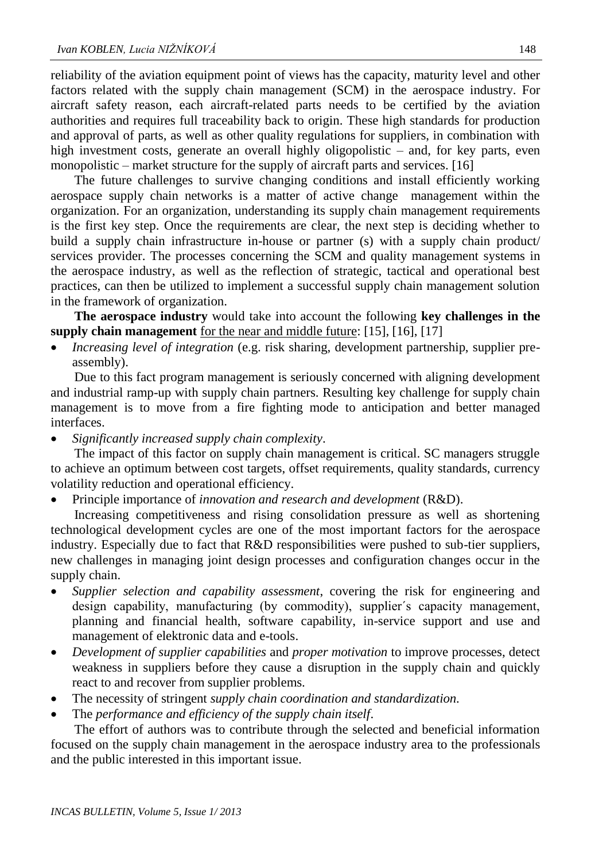reliability of the aviation equipment point of views has the capacity, maturity level and other factors related with the supply chain management (SCM) in the aerospace industry. For aircraft safety reason, each aircraft-related parts needs to be certified by the aviation authorities and requires full traceability back to origin. These high standards for production and approval of parts, as well as other quality regulations for suppliers, in combination with high investment costs, generate an overall highly oligopolistic – and, for key parts, even monopolistic – market structure for the supply of aircraft parts and services. [16]

The future challenges to survive changing conditions and install efficiently working aerospace supply chain networks is a matter of active change management within the organization. For an organization, understanding its supply chain management requirements is the first key step. Once the requirements are clear, the next step is deciding whether to build a supply chain infrastructure in-house or partner (s) with a supply chain product/ services provider. The processes concerning the SCM and quality management systems in the aerospace industry, as well as the reflection of strategic, tactical and operational best practices, can then be utilized to implement a successful supply chain management solution in the framework of organization.

**The aerospace industry** would take into account the following **key challenges in the supply chain management** for the near and middle future: [15], [16], [17]

*Increasing level of integration* (e.g. risk sharing, development partnership, supplier preassembly).

Due to this fact program management is seriously concerned with aligning development and industrial ramp-up with supply chain partners. Resulting key challenge for supply chain management is to move from a fire fighting mode to anticipation and better managed interfaces.

*Significantly increased supply chain complexity*.

The impact of this factor on supply chain management is critical. SC managers struggle to achieve an optimum between cost targets, offset requirements, quality standards, currency volatility reduction and operational efficiency.

Principle importance of *innovation and research and development* (R&D).

Increasing competitiveness and rising consolidation pressure as well as shortening technological development cycles are one of the most important factors for the aerospace industry. Especially due to fact that R&D responsibilities were pushed to sub-tier suppliers, new challenges in managing joint design processes and configuration changes occur in the supply chain.

- *Supplier selection and capability assessment*, covering the risk for engineering and design capability, manufacturing (by commodity), supplier´s capacity management, planning and financial health, software capability, in-service support and use and management of elektronic data and e-tools.
- *Development of supplier capabilities* and *proper motivation* to improve processes, detect weakness in suppliers before they cause a disruption in the supply chain and quickly react to and recover from supplier problems.
- The necessity of stringent *supply chain coordination and standardization.*
- The *performance and efficiency of the supply chain itself*.

The effort of authors was to contribute through the selected and beneficial information focused on the supply chain management in the aerospace industry area to the professionals and the public interested in this important issue.